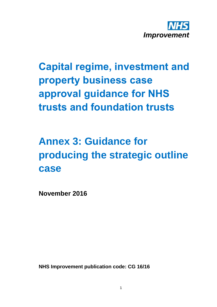

# **Capital regime, investment and property business case approval guidance for NHS trusts and foundation trusts**

## **Annex 3: Guidance for producing the strategic outline case**

**November 2016**

**NHS Improvement publication code: CG 16/16**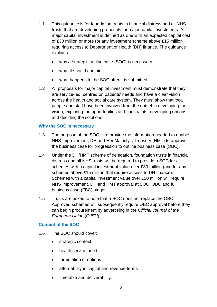- 1.1 This guidance is for foundation trusts in financial distress and all NHS trusts that are developing proposals for major capital investments. A major capital investment is defined as one with an expected capital cost of £30 million or more (or any investment scheme above £15 million requiring access to Department of Health (DH) finance. The guidance explains:
	- why a strategic outline case (SOC) is necessary
	- what it should contain
	- what happens to the SOC after it is submitted.
- 1.2 All proposals for major capital investment must demonstrate that they are service-led, centred on patients' needs and have a clear vision across the health and social care system. They must show that local people and staff have been involved from the outset in developing the vision, exploring the opportunities and constraints, developing options and deciding the solutions.

### **Why the SOC is necessary**

- 1.3 The purpose of the SOC is to provide the information needed to enable NHS Improvement, DH and Her Majesty's Treasury (HMT) to approve the business case for progression to outline business case (OBC).
- 1.4 Under the DH/HMT scheme of delegation, foundation trusts in financial distress and all NHS trusts will be required to provide a SOC for all schemes with a capital investment value over £30 million (and for any schemes above £15 million that require access to DH finance). Schemes with a capital investment value over £50 million will require NHS Improvement, DH and HMT approval at SOC, OBC and full business case (FBC) stages.
- 1.5 Trusts are asked to note that a SOC does not replace the OBC. Approved schemes will subsequently require OBC approval before they can begin procurement by advertising in the *Official Journal of the European Union* (*OJEU*).

#### **Content of the SOC**

- 1.6 The SOC should cover:
	- strategic context
	- health service need
	- formulation of options
	- affordability in capital and revenue terms
	- timetable and deliverability.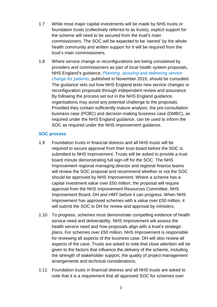- 1.7 While most major capital investments will be made by NHS trusts or foundation trusts (collectively referred to as trusts), explicit support for the scheme will need to be secured from the trust's main commissioners. The SOC will be expected to be 'owned' by the whole health community and written support for it will be required from the trust's main commissioners.
- 1.8 Where service change or reconfigurations are being considered by providers and commissioners as part of local health system proposals, NHS England's guidance, *Planning, [assuring and delivering service](https://www.england.nhs.uk/wp-content/uploads/2015/10/plan-ass-deliv-serv-chge.pdf)  [change for patients](https://www.england.nhs.uk/wp-content/uploads/2015/10/plan-ass-deliv-serv-chge.pdf)*, published in November 2015, should be consulted. The guidance sets out how NHS England tests new service changes or reconfiguration proposals through independent review and assurance. By following the process set out in the NHS England guidance, organisations may avoid any potential challenge to the proposals. Provided they contain sufficiently mature analysis, the pre-consultation business case (PCBC) and decision-making business case (DMBC), as required under the NHS England guidance, can be used to inform the SOC as required under the NHS Improvement guidance.

#### **SOC process**

- 1.9 Foundation trusts in financial distress and all NHS trusts will be required to secure approval from their trust board before the SOC is submitted to NHS Improvement. Trusts will be asked to provide a trust board minute demonstrating full sign-off for the SOC. The NHS Improvement regional managing director and regional finance teams will review the SOC proposal and recommend whether or not the SOC should be approved by NHS Improvement. Where a scheme has a capital investment value over £50 million, the proposal will require approval from the NHS Improvement Resources Committee, NHS Improvement Board, DH and HMT before it can progress. When NHS Improvement has approved schemes with a value over £50 million, it will submit the SOC to DH for review and approval by ministers.
- 1.10 To progress, schemes must demonstrate compelling evidence of health service need and deliverability. NHS Improvement will assess the health service need and how proposals align with a trust's strategic plans. For schemes over £50 million, NHS Improvement is responsible for reviewing all aspects of the business case. DH will also review all aspects of the case. Trusts are asked to note that close attention will be given to the factors that influence the delivery of the scheme, including the strength of stakeholder support, the quality of project management arrangements and technical considerations.
- 1.11 Foundation trusts in financial distress and all NHS trusts are asked to note that it is a requirement that all approved SOC for schemes over